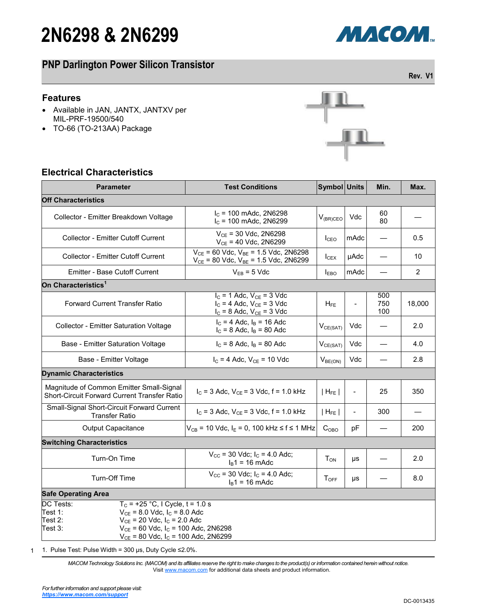# **2N6298 & 2N6299**



## **PNP Darlington Power Silicon Transistor**

#### **Features**

- Available in JAN, JANTX, JANTXV per MIL-PRF-19500/540
- TO-66 (TO-213AA) Package



### **Electrical Characteristics**

| <b>Parameter</b>                                                                                                                                                                                                                                          | <b>Test Conditions</b>                                                                                | Symbol Units        |                | Min.              | Max.           |  |  |  |
|-----------------------------------------------------------------------------------------------------------------------------------------------------------------------------------------------------------------------------------------------------------|-------------------------------------------------------------------------------------------------------|---------------------|----------------|-------------------|----------------|--|--|--|
| <b>Off Characteristics</b>                                                                                                                                                                                                                                |                                                                                                       |                     |                |                   |                |  |  |  |
| Collector - Emitter Breakdown Voltage                                                                                                                                                                                                                     | $I_c$ = 100 mAdc, 2N6298<br>$I_c$ = 100 mAdc, 2N6299                                                  | $V_{(BR)CEO}$       | Vdc            | 60<br>80          |                |  |  |  |
| <b>Collector - Emitter Cutoff Current</b>                                                                                                                                                                                                                 | $V_{CE}$ = 30 Vdc, 2N6298<br>$V_{CE}$ = 40 Vdc, 2N6299                                                | lcEO                | mAdc           |                   | 0.5            |  |  |  |
| <b>Collector - Emitter Cutoff Current</b>                                                                                                                                                                                                                 | $V_{CE}$ = 60 Vdc, $V_{BE}$ = 1.5 Vdc, 2N6298<br>$V_{CE}$ = 80 Vdc, $V_{BE}$ = 1.5 Vdc, 2N6299        | I <sub>CEX</sub>    | µAdc           |                   | 10             |  |  |  |
| <b>Emitter - Base Cutoff Current</b>                                                                                                                                                                                                                      | $V_{EB} = 5$ Vdc                                                                                      | I <sub>EBO</sub>    | mAdc           |                   | $\overline{2}$ |  |  |  |
| On Characteristics <sup>1</sup>                                                                                                                                                                                                                           |                                                                                                       |                     |                |                   |                |  |  |  |
| <b>Forward Current Transfer Ratio</b>                                                                                                                                                                                                                     | $I_C = 1$ Adc, $V_{CE} = 3$ Vdc<br>$I_C = 4$ Adc, $V_{CE} = 3$ Vdc<br>$I_C = 8$ Adc, $V_{CE} = 3$ Vdc | $H_{FE}$            |                | 500<br>750<br>100 | 18,000         |  |  |  |
| Collector - Emitter Saturation Voltage                                                                                                                                                                                                                    | $I_C = 4$ Adc, $I_B = 16$ Adc<br>$I_C = 8$ Adc, $I_B = 80$ Adc                                        | $V_{CE(SAT)}$       | Vdc            |                   | 2.0            |  |  |  |
| Base - Emitter Saturation Voltage                                                                                                                                                                                                                         | $I_C = 8$ Adc, $I_B = 80$ Adc                                                                         | $V_{CE(SAT)}$       | Vdc            |                   | 4.0            |  |  |  |
| Base - Emitter Voltage                                                                                                                                                                                                                                    | $I_C = 4$ Adc, $V_{CE} = 10$ Vdc                                                                      | V <sub>BE(ON)</sub> | Vdc            |                   | 2.8            |  |  |  |
| <b>Dynamic Characteristics</b>                                                                                                                                                                                                                            |                                                                                                       |                     |                |                   |                |  |  |  |
| Magnitude of Common Emitter Small-Signal<br>Short-Circuit Forward Current Transfer Ratio                                                                                                                                                                  | $I_C$ = 3 Adc, $V_{CE}$ = 3 Vdc, f = 1.0 kHz                                                          | $ H_{FE} $          | $\overline{a}$ | 25                | 350            |  |  |  |
| Small-Signal Short-Circuit Forward Current<br><b>Transfer Ratio</b>                                                                                                                                                                                       | $I_C = 3$ Adc, $V_{CE} = 3$ Vdc, f = 1.0 kHz                                                          | $ H_{FE} $          | $\overline{a}$ | 300               |                |  |  |  |
| <b>Output Capacitance</b>                                                                                                                                                                                                                                 | $V_{CB}$ = 10 Vdc, I <sub>E</sub> = 0, 100 kHz ≤ f ≤ 1 MHz                                            | $C_{OBO}$           | рF             |                   | 200            |  |  |  |
| <b>Switching Characteristics</b>                                                                                                                                                                                                                          |                                                                                                       |                     |                |                   |                |  |  |  |
| Turn-On Time                                                                                                                                                                                                                                              | $V_{\text{CC}}$ = 30 Vdc; $I_{\text{C}}$ = 4.0 Adc;<br>$I_B$ 1 = 16 mAdc                              | $T_{ON}$            | μs             |                   | 2.0            |  |  |  |
| Turn-Off Time                                                                                                                                                                                                                                             | $V_{\text{CC}}$ = 30 Vdc; $I_{\text{C}}$ = 4.0 Adc;<br>$I_B$ 1 = 16 mAdc                              | $T_{\text{OFF}}$    | μs             |                   | 8.0            |  |  |  |
| <b>Safe Operating Area</b>                                                                                                                                                                                                                                |                                                                                                       |                     |                |                   |                |  |  |  |
| DC Tests:<br>$T_c$ = +25 °C, I Cycle, t = 1.0 s<br>Test 1:<br>$V_{CF}$ = 8.0 Vdc, $I_C$ = 8.0 Adc<br>$V_{CE}$ = 20 Vdc, $I_C$ = 2.0 Adc<br>Test 2:<br>Test 3:<br>$V_{CE}$ = 60 Vdc, $I_C$ = 100 Adc, 2N6298<br>$V_{CE}$ = 80 Vdc, $I_C$ = 100 Adc, 2N6299 |                                                                                                       |                     |                |                   |                |  |  |  |

1 1. Pulse Test: Pulse Width = 300 μs, Duty Cycle ≤2.0%.

> *MACOM Technology Solutions Inc. (MACOM) and its affiliates reserve the right to make changes to the product(s) or information contained herein without notice.*  Visit [www.macom.com](http://www.macom.com/) for additional data sheets and product information.

**Rev. V1**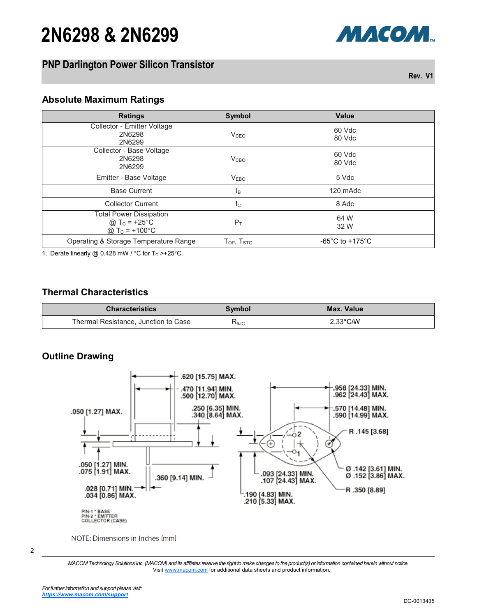# **2N6298 & 2N6299**

### **PNP Darlington Power Silicon Transistor**

**Rev. V1**

МАСОМ.

#### **Absolute Maximum Ratings**

| <b>Ratings</b>                                                                        | <b>Symbol</b>        | <b>Value</b>                          |
|---------------------------------------------------------------------------------------|----------------------|---------------------------------------|
| Collector - Emitter Voltage<br>2N6298<br>2N6299                                       | V <sub>CEO</sub>     | 60 Vdc<br>80 Vdc                      |
| Collector - Base Voltage<br>2N6298<br>2N6299                                          | V <sub>CBO</sub>     | 60 Vdc<br>80 Vdc                      |
| Emitter - Base Voltage                                                                | V <sub>EBO</sub>     | 5 Vdc                                 |
| <b>Base Current</b>                                                                   | ΙB                   | 120 mAdc                              |
| <b>Collector Current</b>                                                              | $I_{\rm C}$          | 8 Adc                                 |
| <b>Total Power Dissipation</b><br>@ $T_c = +25^{\circ}C$<br>@ T <sub>C</sub> = +100°C | $P_T$                | 64 W<br>32 W                          |
| Operating & Storage Temperature Range                                                 | $T_{OP}$ , $T_{STG}$ | -65 $^{\circ}$ C to +175 $^{\circ}$ C |

1. Derate linearly @ 0.428 mW / °C for  $T_c$  >+25°C.

### **Thermal Characteristics**

| <b>Characteristics</b>               | Symbol | Max. Value         |
|--------------------------------------|--------|--------------------|
| Thermal Resistance, Junction to Case | KθJC   | $2.33^{\circ}$ C/W |

### **Outline Drawing**



NOTE: Dimensions in Inches [mm]

<sup>2</sup>

*MACOM Technology Solutions Inc. (MACOM) and its affiliates reserve the right to make changes to the product(s) or information contained herein without notice.*  Visit [www.macom.com](http://www.macom.com/) for additional data sheets and product information.